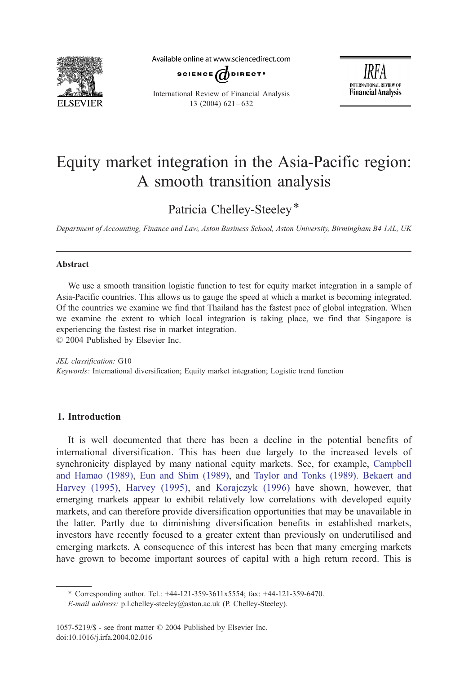

Available online at www.sciencedirect.com



International Review of Financial Analysis  $13(2004)621-632$ 

IRFA **INTERNATIONAL REVIEW OF Financial Analysis** 

# Equity market integration in the Asia-Pacific region: A smooth transition analysis

Patricia Chelley-Steeley\*

Department of Accounting, Finance and Law, Aston Business School, Aston University, Birmingham B4 1AL, UK

#### Abstract

We use a smooth transition logistic function to test for equity market integration in a sample of Asia-Pacific countries. This allows us to gauge the speed at which a market is becoming integrated. Of the countries we examine we find that Thailand has the fastest pace of global integration. When we examine the extent to which local integration is taking place, we find that Singapore is experiencing the fastest rise in market integration.  $© 2004$  Published by Elsevier Inc.

JEL classification: G10 Keywords: International diversification; Equity market integration; Logistic trend function

### 1. Introduction

It is well documented that there has been a decline in the potential benefits of international diversification. This has been due largely to the increased levels of synchronicity displayed by many national equity markets. See, for example, [Campbell](#page--1-0) and Hamao (1989), [Eun and Shim \(1989\),](#page--1-0) and [Taylor and Tonks \(1989\).](#page--1-0) [Bekaert and](#page--1-0) Harvey (1995), [Harvey \(1995\),](#page--1-0) and [Korajczyk \(1996\)](#page--1-0) have shown, however, that emerging markets appear to exhibit relatively low correlations with developed equity markets, and can therefore provide diversification opportunities that may be unavailable in the latter. Partly due to diminishing diversification benefits in established markets, investors have recently focused to a greater extent than previously on underutilised and emerging markets. A consequence of this interest has been that many emerging markets have grown to become important sources of capital with a high return record. This is

E-mail address: p.l.chelley-steeley@aston.ac.uk (P. Chelley-Steeley).

<sup>\*</sup> Corresponding author. Tel.: +44-121-359-3611x5554; fax: +44-121-359-6470.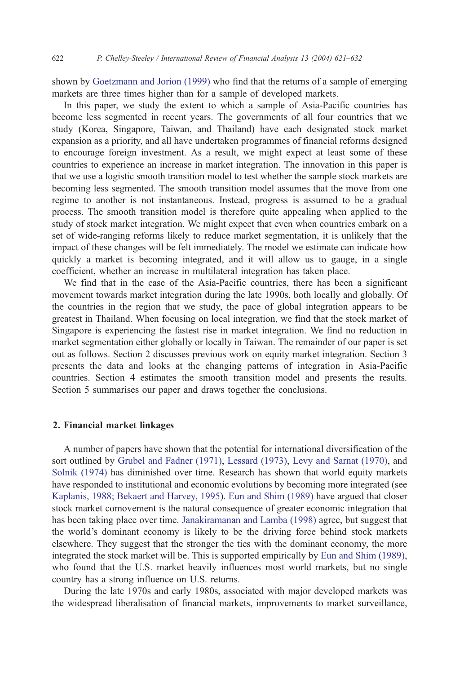shown by [Goetzmann and Jorion \(1999\)](#page--1-0) who find that the returns of a sample of emerging markets are three times higher than for a sample of developed markets.

In this paper, we study the extent to which a sample of Asia-Pacific countries has become less segmented in recent years. The governments of all four countries that we study (Korea, Singapore, Taiwan, and Thailand) have each designated stock market expansion as a priority, and all have undertaken programmes of financial reforms designed to encourage foreign investment. As a result, we might expect at least some of these countries to experience an increase in market integration. The innovation in this paper is that we use a logistic smooth transition model to test whether the sample stock markets are becoming less segmented. The smooth transition model assumes that the move from one regime to another is not instantaneous. Instead, progress is assumed to be a gradual process. The smooth transition model is therefore quite appealing when applied to the study of stock market integration. We might expect that even when countries embark on a set of wide-ranging reforms likely to reduce market segmentation, it is unlikely that the impact of these changes will be felt immediately. The model we estimate can indicate how quickly a market is becoming integrated, and it will allow us to gauge, in a single coefficient, whether an increase in multilateral integration has taken place.

We find that in the case of the Asia-Pacific countries, there has been a significant movement towards market integration during the late 1990s, both locally and globally. Of the countries in the region that we study, the pace of global integration appears to be greatest in Thailand. When focusing on local integration, we find that the stock market of Singapore is experiencing the fastest rise in market integration. We find no reduction in market segmentation either globally or locally in Taiwan. The remainder of our paper is set out as follows. Section 2 discusses previous work on equity market integration. Section 3 presents the data and looks at the changing patterns of integration in Asia-Pacific countries. Section 4 estimates the smooth transition model and presents the results. Section 5 summarises our paper and draws together the conclusions.

### 2. Financial market linkages

A number of papers have shown that the potential for international diversification of the sort outlined by [Grubel and Fadner \(1971\),](#page--1-0) [Lessard \(1973\),](#page--1-0) [Levy and Sarnat \(1970\),](#page--1-0) and [Solnik \(1974\)](#page--1-0) has diminished over time. Research has shown that world equity markets have responded to institutional and economic evolutions by becoming more integrated (see [Kaplanis, 1988; Bekaert and Harvey, 1995\)](#page--1-0). [Eun and Shim \(1989\)](#page--1-0) have argued that closer stock market comovement is the natural consequence of greater economic integration that has been taking place over time. [Janakiramanan and Lamba \(1998\)](#page--1-0) agree, but suggest that the world's dominant economy is likely to be the driving force behind stock markets elsewhere. They suggest that the stronger the ties with the dominant economy, the more integrated the stock market will be. This is supported empirically by [Eun and Shim \(1989\),](#page--1-0) who found that the U.S. market heavily influences most world markets, but no single country has a strong influence on U.S. returns.

During the late 1970s and early 1980s, associated with major developed markets was the widespread liberalisation of financial markets, improvements to market surveillance,